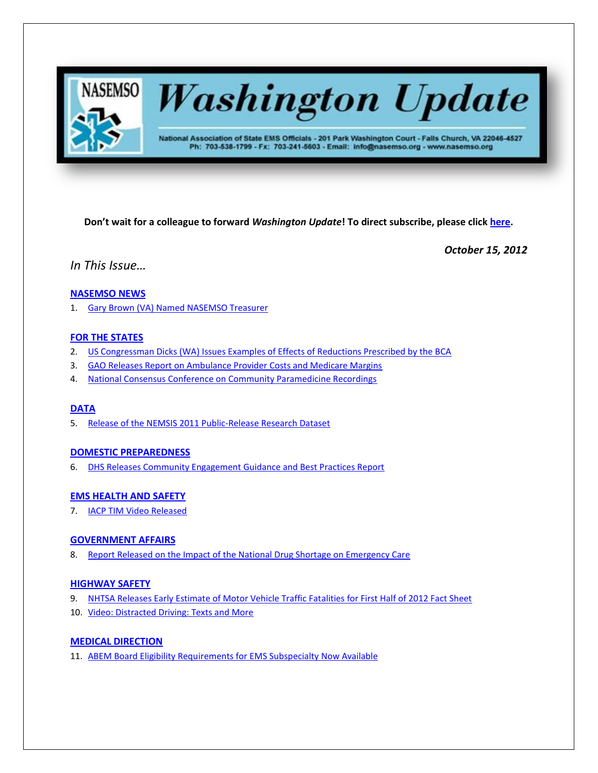

# **Washington Update**

National Association of State EMS Officials - 201 Park Washington Court - Falls Church, VA 22046-4527 Ph: 703-538-1799 - Fx: 703-241-5603 - Email: info@nasemso.org - www.nasemso.org

**Don't wait for a colleague to forward** *Washington Update***! To direct subscribe, please click [here.](http://lists.nasemso.org/read/all_forums/subscribe?name=wu%20)**

*October 15, 2012*

*In This Issue…*

# **[NASEMSO NEWS](#page-1-0)**

1. [Gary Brown \(VA\) Named NASEMSO Treasurer](#page-1-1)

# **[FOR THE STATES](#page-1-2)**

- 2. [US Congressman Dicks \(WA\) Issues Examples of Effects of Reductions Prescribed by the BCA](#page-1-3)
- 3. [GAO Releases Report on Ambulance Provider Costs and Medicare Margins](#page-1-4)
- 4. [National Consensus Conference on Community Paramedicine Recordings](#page-2-0)

# **[DATA](#page-2-1)**

5. Release [of the NEMSIS 2011 Public-Release Research Dataset](#page-2-2)

# **[DOMESTIC PREPAREDNESS](#page-2-3)**

6. [DHS Releases Community Engagement Guidance and Best Practices Report](#page-2-4)

# **[EMS HEALTH](#page-2-5) AND SAFETY**

7. [IACP TIM Video Released](#page-2-6)

# **[GOVERNMENT AFFAIRS](#page-2-7)**

8. [Report Released on the Impact of the National Drug Shortage on Emergency Care](#page-2-8)

# **[HIGHWAY SAFETY](#page-2-9)**

- 9. [NHTSA Releases Early Estimate of Motor Vehicle Traffic Fatalities for First Half of 2012 Fact Sheet](#page-2-10)
- 10. [Video: Distracted Driving: Texts and More](#page-3-0)

# **MEDICAL [DIRECTION](#page-3-1)**

11. [ABEM Board Eligibility Requirements for EMS Subspecialty Now Available](#page-3-2)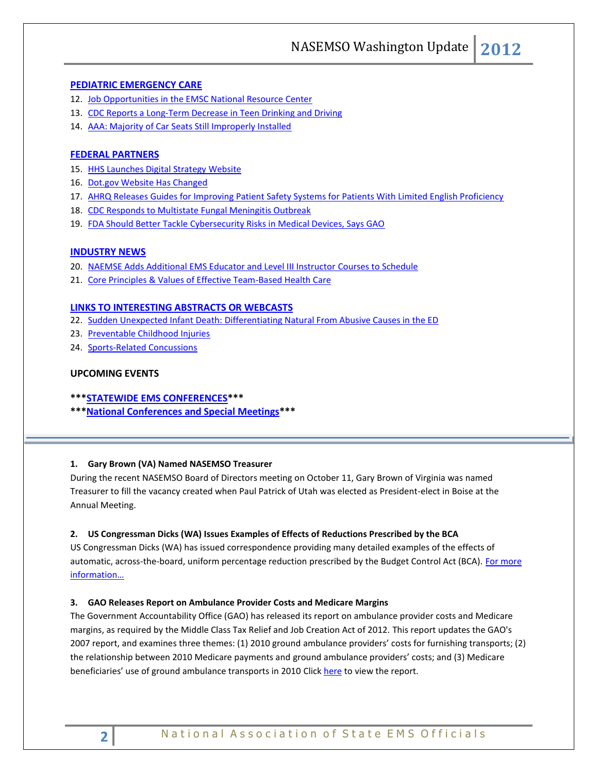NASEMSO Washington Update **2012**

#### **[PEDIATRIC EMERGENCY CARE](#page-3-3)**

- 12. [Job Opportunities in the EMSC National Resource Center](#page-3-3)
- 13. [CDC Reports a Long-Term Decrease in Teen Drinking and Driving](#page-3-4)
- 14. [AAA: Majority of Car Seats Still Improperly Installed](#page-4-0)

# **[FEDERAL PARTNERS](#page-4-1)**

- 15. [HHS Launches Digital Strategy Website](#page-4-2)
- 16. [Dot.gov Website Has Changed](#page-4-3)
- 17. [AHRQ Releases Guides for Improving Patient Safety Systems for Patients With Limited English Proficiency](#page-4-4)
- 18. [CDC Responds to Multistate Fungal Meningitis Outbreak](#page-4-5)
- 19. [FDA Should Better Tackle Cybersecurity Risks in Medical Devices, Says GAO](#page-5-0)

#### **[INDUSTRY NEWS](#page-5-1)**

- 20. [NAEMSE Adds Additional EMS Educator and Level III Instructor Courses to Schedule](#page-5-2)
- 21. [Core Principles & Values of Effective Team-Based Health Care](#page-5-3)

#### **[LINKS TO INTERESTING ABSTRACTS OR WEBCASTS](#page-5-4)**

- 22. [Sudden Unexpected Infant Death: Differentiating Natural From Abusive Causes in the ED](#page-5-5)
- 23. [Preventable Childhood Injuries](#page-6-0)
- 24. [Sports-Related Concussions](#page-6-1)

#### **UPCOMING EVENTS**

- **\*\*[\\*STATEWIDE EMS CONFERENCES\\*](#page-6-2)\*\***
- **\*\*[\\*National Conferences and Special Meetings\\*](#page-6-3)\*\***

#### <span id="page-1-1"></span><span id="page-1-0"></span>**1. Gary Brown (VA) Named NASEMSO Treasurer**

During the recent NASEMSO Board of Directors meeting on October 11, Gary Brown of Virginia was named Treasurer to fill the vacancy created when Paul Patrick of Utah was elected as President-elect in Boise at the Annual Meeting.

#### <span id="page-1-3"></span><span id="page-1-2"></span>**2. US Congressman Dicks (WA) Issues Examples of Effects of Reductions Prescribed by the BCA**

US Congressman Dicks (WA) has issued correspondence providing many detailed examples of the effects of automatic, across-the-board, uniform percentage reduction prescribed by the Budget Control Act (BCA). For more [information…](http://www.nasemso.org/documents/NormDicksSequestrationLtr100912.pdf)

#### <span id="page-1-4"></span>**3. GAO Releases Report on Ambulance Provider Costs and Medicare Margins**

The Government Accountability Office (GAO) has released its report on ambulance provider costs and Medicare margins, as required by the Middle Class Tax Relief and Job Creation Act of 2012. This report updates the GAO's 2007 report, and examines three themes: (1) 2010 ground ambulance providers' costs for furnishing transports; (2) the relationship between 2010 Medicare payments and ground ambulance providers' costs; and (3) Medicare beneficiaries' use of ground ambulance transports in 2010 Clic[k here](http://www.nasemso.org/documents/GAOAmbulanceReport100312.pdf) to view the report.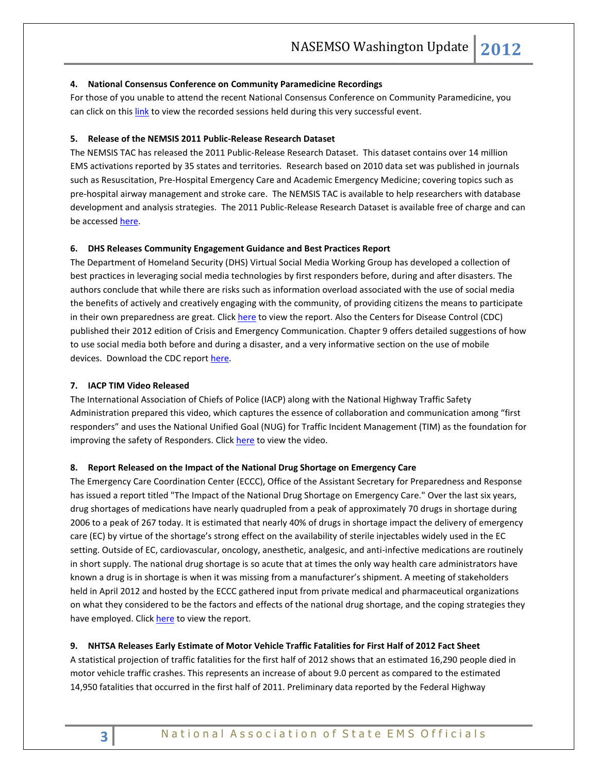#### <span id="page-2-0"></span>**4. National Consensus Conference on Community Paramedicine Recordings**

For those of you unable to attend the recent National Consensus Conference on Community Paramedicine, you can click on this [link](http://www.justin.tv/communityparamedic/videos) to view the recorded sessions held during this very successful event.

#### <span id="page-2-2"></span><span id="page-2-1"></span>**5. Release of the NEMSIS 2011 Public-Release Research Dataset**

The NEMSIS TAC has released the 2011 Public-Release Research Dataset. This dataset contains over 14 million EMS activations reported by 35 states and territories. Research based on 2010 data set was published in journals such as Resuscitation, Pre-Hospital Emergency Care and Academic Emergency Medicine; covering topics such as pre-hospital airway management and stroke care. The NEMSIS TAC is available to help researchers with database development and analysis strategies. The 2011 Public-Release Research Dataset is available free of charge and can be accessed [here.](http://www.nemsis.org/reportingTools/requestNEMSISData.html)

#### <span id="page-2-4"></span><span id="page-2-3"></span>**6. DHS Releases Community Engagement Guidance and Best Practices Report**

The Department of Homeland Security (DHS) Virtual Social Media Working Group has developed a collection of best practices in leveraging social media technologies by first responders before, during and after disasters. The authors conclude that while there are risks such as information overload associated with the use of social media the benefits of actively and creatively engaging with the community, of providing citizens the means to participate in their own preparedness are great. Clic[k here](https://216.109.77.115/Operational%20Field%20Assessments/Virtual%20Social%20Media%20Working%20Group%20Community%20Engagement.pdf) to view the report. Also the Centers for Disease Control (CDC) published their 2012 edition of Crisis and Emergency Communication. Chapter 9 offers detailed suggestions of how to use social media both before and during a disaster, and a very informative section on the use of mobile devices. Download the CDC report [here.](http://emergency.cdc.gov/cerc/pdf/CERC_2012edition.pdf)

# <span id="page-2-6"></span><span id="page-2-5"></span>**7. IACP TIM Video Released**

The International Association of Chiefs of Police (IACP) along with the National Highway Traffic Safety Administration prepared this video, which captures the essence of collaboration and communication among "first responders" and uses the National Unified Goal (NUG) for Traffic Incident Management (TIM) as the foundation for improving the safety of Responders. Click [here](http://www.youtube.com/watch?v=FrnmYHq0LYs&list=UUQ9UHQ1sRz3ee1pMsEpQ_JQ&index=11&feature=plpp_video) to view the video.

#### <span id="page-2-8"></span><span id="page-2-7"></span>**8. Report Released on the Impact of the National Drug Shortage on Emergency Care**

The Emergency Care Coordination Center (ECCC), Office of the Assistant Secretary for Preparedness and Response has issued a report titled "The Impact of the National Drug Shortage on Emergency Care." Over the last six years, drug shortages of medications have nearly quadrupled from a peak of approximately 70 drugs in shortage during 2006 to a peak of 267 today. It is estimated that nearly 40% of drugs in shortage impact the delivery of emergency care (EC) by virtue of the shortage's strong effect on the availability of sterile injectables widely used in the EC setting. Outside of EC, cardiovascular, oncology, anesthetic, analgesic, and anti-infective medications are routinely in short supply. The national drug shortage is so acute that at times the only way health care administrators have known a drug is in shortage is when it was missing from a manufacturer's shipment. A meeting of stakeholders held in April 2012 and hosted by the ECCC gathered input from private medical and pharmaceutical organizations on what they considered to be the factors and effects of the national drug shortage, and the coping strategies they have employed. Click [here](http://www.nasemso.org/documents/ImpactOfTheNationalDrugShortageOnEmergencyCareApril2012.pdf) to view the report.

#### <span id="page-2-10"></span><span id="page-2-9"></span>**9. NHTSA Releases Early Estimate of Motor Vehicle Traffic Fatalities for First Half of 2012 Fact Sheet**

A statistical projection of traffic fatalities for the first half of 2012 shows that an estimated 16,290 people died in motor vehicle traffic crashes. This represents an increase of about 9.0 percent as compared to the estimated 14,950 fatalities that occurred in the first half of 2011. Preliminary data reported by the Federal Highway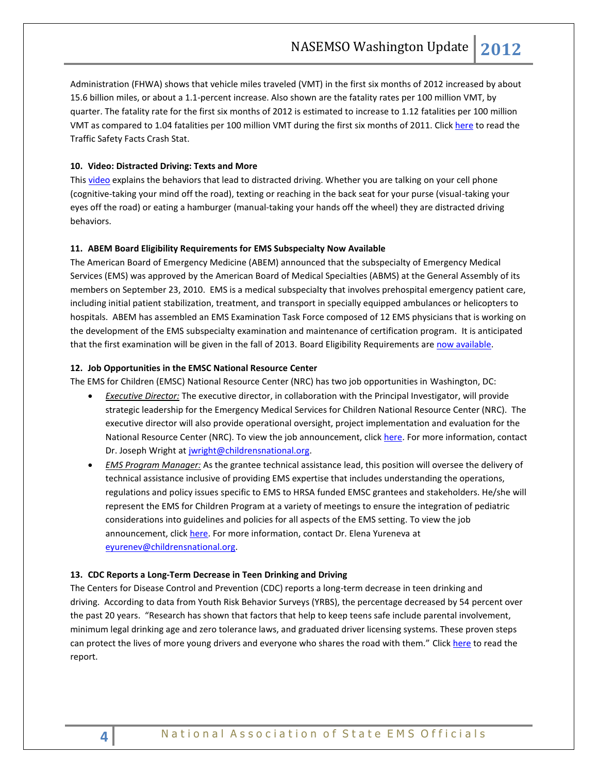Administration (FHWA) shows that vehicle miles traveled (VMT) in the first six months of 2012 increased by about 15.6 billion miles, or about a 1.1-percent increase. Also shown are the fatality rates per 100 million VMT, by quarter. The fatality rate for the first six months of 2012 is estimated to increase to 1.12 fatalities per 100 million VMT as compared to 1.04 fatalities per 100 million VMT during the first six months of 2011. Click [here](http://www-nrd.nhtsa.dot.gov/Pubs/811680.pdf) to read the Traffic Safety Facts Crash Stat.

#### <span id="page-3-0"></span>**10. Video: Distracted Driving: Texts and More**

Thi[s video](http://www.youtube.com/watch?v=ALNamqA3Ltc&list=UUULOgd2FNzmWtXfGeb-3vlA&index=1&feature=plcp) explains the behaviors that lead to distracted driving. Whether you are talking on your cell phone (cognitive-taking your mind off the road), texting or reaching in the back seat for your purse (visual-taking your eyes off the road) or eating a hamburger (manual-taking your hands off the wheel) they are distracted driving behaviors.

#### <span id="page-3-2"></span><span id="page-3-1"></span>**11. ABEM Board Eligibility Requirements for EMS Subspecialty Now Available**

The American Board of Emergency Medicine (ABEM) announced that the subspecialty of Emergency Medical Services (EMS) was approved by the American Board of Medical Specialties (ABMS) at the General Assembly of its members on September 23, 2010. EMS is a medical subspecialty that involves prehospital emergency patient care, including initial patient stabilization, treatment, and transport in specially equipped ambulances or helicopters to hospitals. ABEM has assembled an EMS Examination Task Force composed of 12 EMS physicians that is working on the development of the EMS subspecialty examination and maintenance of certification program. It is anticipated that the first examination will be given in the fall of 2013. Board Eligibility Requirements are [now available.](https://www.abem.org/PUBLIC/_Rainbow/Documents/EMS%20Elig%20Criteria%20FINAL%20April%202011.pdf)

#### <span id="page-3-3"></span>**12. Job Opportunities in the EMSC National Resource Center**

The EMS for Children (EMSC) National Resource Center (NRC) has two job opportunities in Washington, DC:

- *Executive Director:* The executive director, in collaboration with the Principal Investigator, will provide strategic leadership for the Emergency Medical Services for Children National Resource Center (NRC). The executive director will also provide operational oversight, project implementation and evaluation for the National Resource Center (NRC). To view the job announcement, click [here.](https://www.healthcaresource.com/cnmc/index.cfm?fuseaction=search.jobDetails&template=dsp_job_details.cfm&cJobId=106129) For more information, contact Dr. Joseph Wright at [jwright@childrensnational.org.](mailto:jwright@childrensnational.org)
- *EMS Program Manager:* As the grantee technical assistance lead, this position will oversee the delivery of technical assistance inclusive of providing EMS expertise that includes understanding the operations, regulations and policy issues specific to EMS to HRSA funded EMSC grantees and stakeholders. He/she will represent the EMS for Children Program at a variety of meetings to ensure the integration of pediatric considerations into guidelines and policies for all aspects of the EMS setting. To view the job announcement, clic[k here.](https://www.healthcaresource.com/cnmc/index.cfm?fuseaction=search.jobDetails&template=dsp_job_details.cfm&cJobId=312879) For more information, contact Dr. Elena Yureneva at [eyurenev@childrensnational.org.](mailto:eyurenev@childrensnational.org)

#### <span id="page-3-4"></span>**13. CDC Reports a Long-Term Decrease in Teen Drinking and Driving**

The Centers for Disease Control and Prevention (CDC) reports a long-term decrease in teen drinking and driving. According to data from Youth Risk Behavior Surveys (YRBS), the percentage decreased by 54 percent over the past 20 years. "Research has shown that factors that help to keep teens safe include parental involvement, minimum legal drinking age and zero tolerance laws, and graduated driver licensing systems. These proven steps can protect the lives of more young drivers and everyone who shares the road with them." Click [here](http://www.cdc.gov/vitalsigns/TeenDrinkingAndDriving/index.html) to read the report.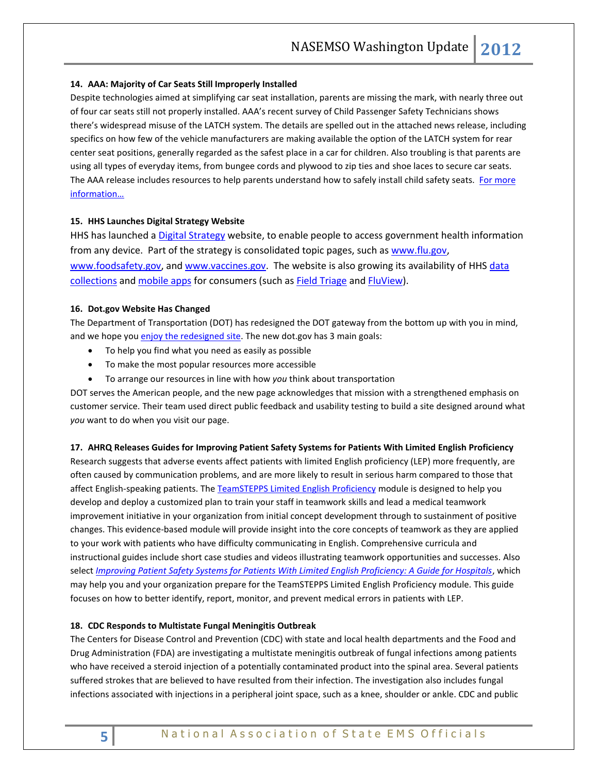#### <span id="page-4-0"></span>**14. AAA: Majority of Car Seats Still Improperly Installed**

Despite technologies aimed at simplifying car seat installation, parents are missing the mark, with nearly three out of four car seats still not properly installed. AAA's recent survey of Child Passenger Safety Technicians shows there's widespread misuse of the LATCH system. The details are spelled out in the attached news release, including specifics on how few of the vehicle manufacturers are making available the option of the LATCH system for rear center seat positions, generally regarded as the safest place in a car for children. Also troubling is that parents are using all types of everyday items, from bungee cords and plywood to zip ties and shoe laces to secure car seats. The AAA release includes resources to help parents understand how to safely install child safety seats. For more [information…](http://newsroom.aaa.com/tag/aaa-safe-seats-4-kids/)

#### <span id="page-4-2"></span><span id="page-4-1"></span>**15. HHS Launches Digital Strategy Website**

HHS has launched a [Digital Strategy](http://www.hhs.gov/digitalstrategy/) website, to enable people to access government health information from any device. Part of the strategy is consolidated topic pages, such a[s www.flu.gov,](http://www.flu.gov/) [www.foodsafety.gov,](http://www.foodsafety.gov/) and [www.vaccines.gov.](http://www.vaccines.gov/) The website is also growing its availability of HHS data [collections](http://www.hhs.gov/digitalstrategy/open-data/index.html) an[d mobile apps](http://www.hhs.gov/digitalstrategy/mobile/index.html) for consumers (such a[s Field Triage](http://www.cdc.gov/fieldtriage/mobile.html) and [FluView\)](http://www.cdc.gov/flu/apps/fluview-mobile-app.html).

#### <span id="page-4-3"></span>**16. Dot.gov Website Has Changed**

The Department of Transportation (DOT) has redesigned the DOT gateway from the bottom up with you in mind, and we hope you [enjoy the redesigned site.](http://www.dot.gov/) The new dot gov has 3 main goals:

- To help you find what you need as easily as possible
- To make the most popular resources more accessible
- To arrange our resources in line with how *you* think about transportation

DOT serves the American people, and the new page acknowledges that mission with a strengthened emphasis on customer service. Their team used direct public feedback and usability testing to build a site designed around what *you* want to do when you visit our page.

# <span id="page-4-4"></span>**17. AHRQ Releases Guides for Improving Patient Safety Systems for Patients With Limited English Proficiency**

Research suggests that adverse events affect patients with limited English proficiency (LEP) more frequently, are often caused by communication problems, and are more likely to result in serious harm compared to those that affect English-speaking patients. Th[e TeamSTEPPS Limited English Proficiency](http://www.ahrq.gov/teamsteppstools/lep/) module is designed to help you develop and deploy a customized plan to train your staff in teamwork skills and lead a medical teamwork improvement initiative in your organization from initial concept development through to sustainment of positive changes. This evidence-based module will provide insight into the core concepts of teamwork as they are applied to your work with patients who have difficulty communicating in English. Comprehensive curricula and instructional guides include short case studies and videos illustrating teamwork opportunities and successes. Also select *[Improving Patient Safety Systems for Patients With Limited English Proficiency: A Guide for Hospitals](http://www.ahrq.gov/populations/lepguide/index.html)*, which may help you and your organization prepare for the TeamSTEPPS Limited English Proficiency module. This guide focuses on how to better identify, report, monitor, and prevent medical errors in patients with LEP.

# <span id="page-4-5"></span>**18. CDC Responds to Multistate Fungal Meningitis Outbreak**

The Centers for Disease Control and Prevention (CDC) with state and local health departments and the Food and Drug Administration (FDA) are investigating a multistate meningitis outbreak of fungal infections among patients who have received a steroid injection of a potentially contaminated product into the spinal area. Several patients suffered strokes that are believed to have resulted from their infection. The investigation also includes fungal infections associated with injections in a peripheral joint space, such as a knee, shoulder or ankle. CDC and public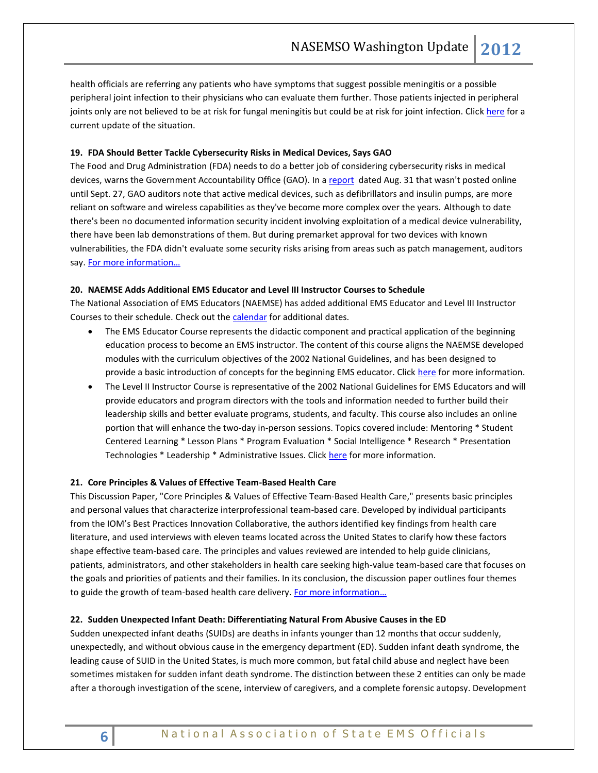health officials are referring any patients who have symptoms that suggest possible meningitis or a possible peripheral joint infection to their physicians who can evaluate them further. Those patients injected in peripheral joints only are not believed to be at risk for fungal meningitis but could be at risk for joint infection. Click [here](http://www.cdc.gov/HAI/outbreaks/currentsituation/) for a current update of the situation.

# <span id="page-5-0"></span>**19. [FDA Should Better Tackle Cybersecurity Risks in Medical Devices, Says GAO](http://links.mkt1985.com/ctt?kn=77&ms=NDM3NzkyOQS2&r=MzM2MTQxNTk1MzES1&b=0&j=MTMxNTMzNTA3S0&mt=1&rt=0)**

The Food and Drug Administration (FDA) needs to do a better job of considering cybersecurity risks in medical devices, warns the Government Accountability Office (GAO). In a [report](http://www.gao.gov/assets/650/647767.pdf) dated Aug. 31 that wasn't posted online until Sept. 27, GAO auditors note that active medical devices, such as defibrillators and insulin pumps, are more reliant on software and wireless capabilities as they've become more complex over the years. Although to date there's been no documented information security incident involving exploitation of a medical device vulnerability, there have been lab demonstrations of them. But during premarket approval for two devices with known vulnerabilities, the FDA didn't evaluate some security risks arising from areas such as patch management, auditors say. [For more information…](http://www.fiercegovernmentit.com/story/fda-should-better-tackle-cybersecurity-risks-medical-devices-says-gao/2012-10-04)

# <span id="page-5-2"></span><span id="page-5-1"></span>**20. NAEMSE Adds Additional EMS Educator and Level III Instructor Courses to Schedule**

The National Association of EMS Educators (NAEMSE) has added additional EMS Educator and Level III Instructor Courses to their schedule. Check out th[e calendar](#page-6-3) for additional dates.

- The EMS Educator Course represents the didactic component and practical application of the beginning education process to become an EMS instructor. The content of this course aligns the NAEMSE developed modules with the curriculum objectives of the 2002 National Guidelines, and has been designed to provide a basic introduction of concepts for the beginning EMS educator. Click [here](http://www.naemse.org/instructor-course/) for more information.
- The Level II Instructor Course is representative of the 2002 National Guidelines for EMS Educators and will provide educators and program directors with the tools and information needed to further build their leadership skills and better evaluate programs, students, and faculty. This course also includes an online portion that will enhance the two-day in-person sessions. Topics covered include: Mentoring \* Student Centered Learning \* Lesson Plans \* Program Evaluation \* Social Intelligence \* Research \* Presentation Technologies \* Leadership \* Administrative Issues. Clic[k here](http://www.naemse.org/instructorcourse2/) for more information.

#### <span id="page-5-3"></span>**21. Core Principles & Values of Effective Team-Based Health Care**

This Discussion Paper, "Core Principles & Values of Effective Team-Based Health Care," presents basic principles and personal values that characterize interprofessional team-based care. Developed by individual participants from the IOM's Best Practices Innovation Collaborative, the authors identified key findings from health care literature, and used interviews with eleven teams located across the United States to clarify how these factors shape effective team-based care. The principles and values reviewed are intended to help guide clinicians, patients, administrators, and other stakeholders in health care seeking high-value team-based care that focuses on the goals and priorities of patients and their families. In its conclusion, the discussion paper outlines four themes to guide the growth of team-based health care delivery. [For more information…](http://www.iom.edu/Global/Perspectives/2012/TeamBasedCare.aspx)

#### <span id="page-5-5"></span><span id="page-5-4"></span>**22. Sudden Unexpected Infant Death: Differentiating Natural From Abusive Causes in the ED**

Sudden unexpected infant deaths (SUIDs) are deaths in infants younger than 12 months that occur suddenly, unexpectedly, and without obvious cause in the emergency department (ED). Sudden infant death syndrome, the leading cause of SUID in the United States, is much more common, but fatal child abuse and neglect have been sometimes mistaken for sudden infant death syndrome. The distinction between these 2 entities can only be made after a thorough investigation of the scene, interview of caregivers, and a complete forensic autopsy. Development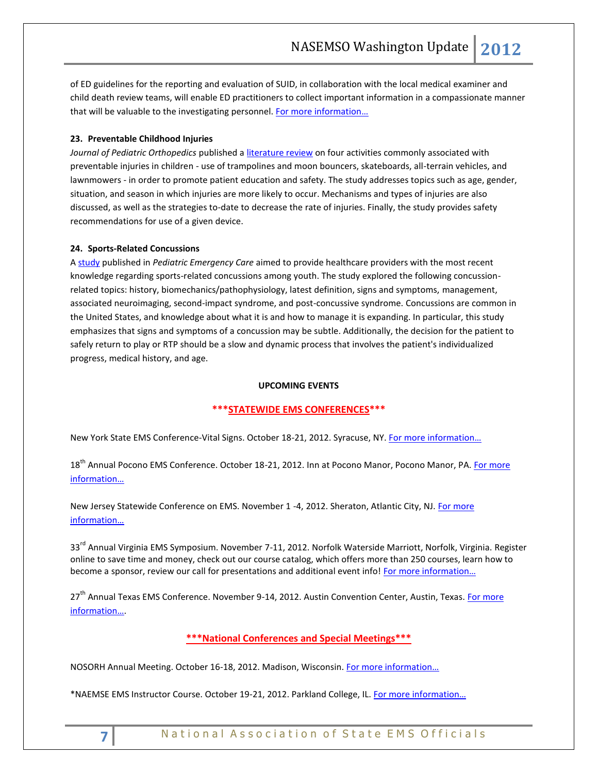of ED guidelines for the reporting and evaluation of SUID, in collaboration with the local medical examiner and child death review teams, will enable ED practitioners to collect important information in a compassionate manner that will be valuable to the investigating personnel. For more information...

# <span id="page-6-0"></span>**23. Preventable Childhood Injuries**

*Journal of Pediatric Orthopedics* published [a literature review](http://www.ncbi.nlm.nih.gov/pubmed/22955541/) on four activities commonly associated with preventable injuries in children - use of trampolines and moon bouncers, skateboards, all-terrain vehicles, and lawnmowers - in order to promote patient education and safety. The study addresses topics such as age, gender, situation, and season in which injuries are more likely to occur. Mechanisms and types of injuries are also discussed, as well as the strategies to-date to decrease the rate of injuries. Finally, the study provides safety recommendations for use of a given device.

#### <span id="page-6-1"></span>**24. Sports-Related Concussions**

A [study](http://www.ncbi.nlm.nih.gov/pubmed/22940896) published in *Pediatric Emergency Care* aimed to provide healthcare providers with the most recent knowledge regarding sports-related concussions among youth. The study explored the following concussionrelated topics: history, biomechanics/pathophysiology, latest definition, signs and symptoms, management, associated neuroimaging, second-impact syndrome, and post-concussive syndrome. Concussions are common in the United States, and knowledge about what it is and how to manage it is expanding. In particular, this study emphasizes that signs and symptoms of a concussion may be subtle. Additionally, the decision for the patient to safely return to play or RTP should be a slow and dynamic process that involves the patient's individualized progress, medical history, and age.

#### **UPCOMING EVENTS**

# **\*\*\*STATEWIDE EMS CONFERENCES\*\*\***

<span id="page-6-2"></span>New York State EMS Conference-Vital Signs. October 18-21, 2012. Syracuse, NY. [For more information…](http://www.vitalsignsconference.com/)

18<sup>th</sup> Annual Pocono EMS Conference. October 18-21, 2012. Inn at Pocono Manor, Pocono Manor, PA. For more [information…](http://www.poconoemsconference.com/)

New Jersey Statewide Conference on EMS. November 1 -4, 2012. Sheraton, Atlantic City, NJ[. For more](http://www.njemsconference.com/)  [information…](http://www.njemsconference.com/)

33<sup>rd</sup> Annual Virginia EMS Symposium. November 7-11, 2012. Norfolk Waterside Marriott, Norfolk, Virginia. Register online to save time and money, check out our course catalog, which offers more than 250 courses, learn how to become a sponsor, review our call for presentations and additional event info! For more information...

27<sup>th</sup> Annual Texas EMS Conference. November 9-14, 2012. Austin Convention Center, Austin, Texas. For more [information…](http://www.texasemsconference.com/).

# **\*\*\*National Conferences and Special Meetings\*\*\***

<span id="page-6-3"></span>NOSORH Annual Meeting. October 16-18, 2012. Madison, Wisconsin. [For more information…](http://www.nosorh.org/news/events.php)

\*NAEMSE EMS Instructor Course. October 19-21, 2012. Parkland College, IL. For more information...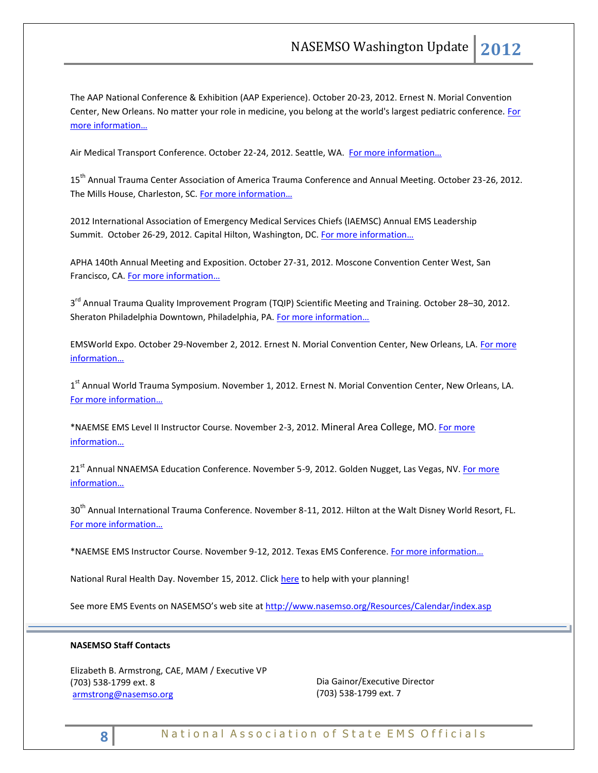The AAP National Conference & Exhibition (AAP Experience). October 20-23, 2012. Ernest N. Morial Convention Center, New Orleans. No matter your role in medicine, you belong at the world's largest pediatric conference. For [more information…](http://www.aapexperience.org/)

Air Medical Transport Conference. October 22-24, 2012. Seattle, WA. For more information...

15th Annual Trauma Center Association of America Trauma Conference and Annual Meeting. October 23-26, 2012. The Mills House, Charleston, SC. For more information...

2012 International Association of Emergency Medical Services Chiefs (IAEMSC) Annual EMS Leadership Summit. October 26-29, 2012. Capital Hilton, Washington, DC. For more information...

APHA 140th Annual Meeting and Exposition. October 27-31, 2012. Moscone Convention Center West, San Francisco, CA. For more information...

3<sup>rd</sup> Annual Trauma Quality Improvement Program (TQIP) Scientific Meeting and Training. October 28–30, 2012. Sheraton Philadelphia Downtown, Philadelphia, PA. For more information...

EMSWorld Expo. October 29-November 2, 2012. Ernest N. Morial Convention Center, New Orleans, LA. [For more](http://emsworldexpo.com/)  [information…](http://emsworldexpo.com/)

1<sup>st</sup> Annual World Trauma Symposium. November 1, 2012. Ernest N. Morial Convention Center, New Orleans, LA. [For more information…](http://www.worldtraumasymposium.com/)

\*NAEMSE EMS Level II Instructor Course. November 2-3, 2012. Mineral Area College, MO[. For more](http://www.naemse.org/instructorcourse2/)  [information…](http://www.naemse.org/instructorcourse2/)

21<sup>st</sup> Annual NNAEMSA Education Conference. November 5-9, 2012. Golden Nugget, Las Vegas, NV. For more [information…](http://www.nnaemsa.org/)

30<sup>th</sup> Annual International Trauma Conference. November 8-11, 2012. Hilton at the Walt Disney World Resort, FL. [For more information…](http://www.itrauma.org/conference/)

\*NAEMSE EMS Instructor Course. November 9-12, 2012. Texas EMS Conference. [For more information…](http://www.naemse.org/instructor-course/)

National Rural Health Day. November 15, 2012. Click [here](http://celebratepowerofrural.org/) to help with your planning!

See more EMS Events on NASEMSO's web site at<http://www.nasemso.org/Resources/Calendar/index.asp>

# **NASEMSO Staff Contacts**

Elizabeth B. Armstrong, CAE, MAM / Executive VP (703) 538-1799 ext. 8 [armstrong@nasemso.org](mailto:armstrong@nasemso.org)

Dia Gainor/Executive Director (703) 538-1799 ext. 7